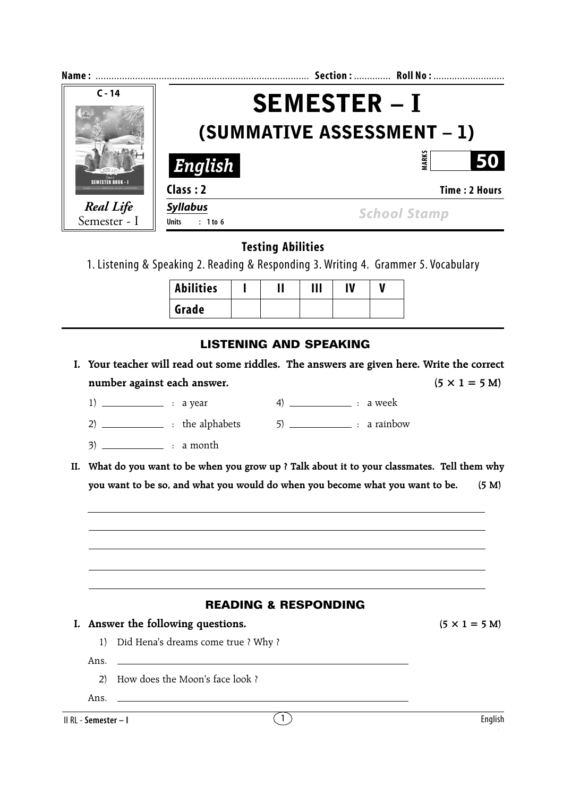|                                             | Section:  Roll No :  |  |  |  |
|---------------------------------------------|----------------------|--|--|--|
| <b>SEMESTER – I</b>                         |                      |  |  |  |
| (SUMMATIVE ASSESSMENT - 1)                  |                      |  |  |  |
| English                                     | <b>MARK</b><br>50    |  |  |  |
| Class: 2                                    | <b>Time: 2 Hours</b> |  |  |  |
| <b>Syllabus</b><br><b>Units</b><br>: 1 to 6 | <b>School Stamp</b>  |  |  |  |
|                                             |                      |  |  |  |

**Testing Abilities**

1. Listening & Speaking 2. Reading & Responding 3. Writing 4. Grammer 5. Vocabulary

| <b>Abilities</b> |  | Ш | IV |  |
|------------------|--|---|----|--|
| Grade            |  |   |    |  |

# **LISTENING AND SPEAKING**

- **I. Your teacher will read out some riddles. The answers are given here. Write the correct** number against each answer.  $(5 \times 1 = 5 \text{ M})$ 
	- 1)  $\frac{1}{1}$  : a year 4)  $\frac{1}{1}$  : a week

 $2)$   $\qquad \qquad$  : the alphabets  $\qquad \qquad$  5)  $\qquad \qquad$  : a rainbow

- $3)$  \_\_\_\_\_\_\_\_\_\_\_\_\_\_\_ : a month
- **II. What do you want to be when you grow up ? Talk about it to your classmates. Tell them why you want to be so, and what you would do when you become what you want to be. (5 M)**



Ans.

2) How does the Moon's face look ?

Ans.  $\Box$ 

II RL - **Semester – I**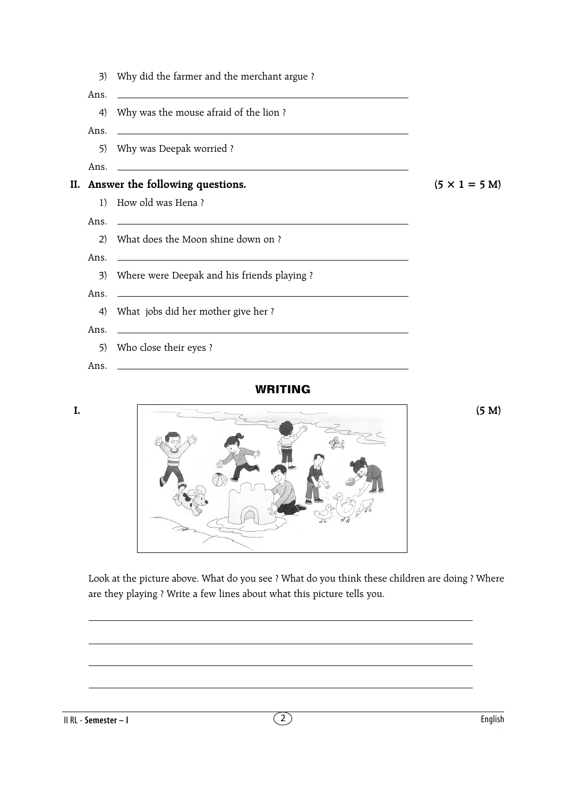3) Why did the farmer and the merchant argue ? Ans. 4) Why was the mouse afraid of the lion ? Ans. 5) Why was Deepak worried ? Ans. **II.** Answer the following questions. ( $5 \times 1 = 5$  M) 1) How old was Hena ? Ans. 2) What does the Moon shine down on ? Ans. 3) Where were Deepak and his friends playing ? Ans. 4) What jobs did her mother give her ? Ans. 5) Who close their eyes ? Ans.

## **WRITING**



Look at the picture above. What do you see ? What do you think these children are doing ? Where are they playing ? Write a few lines about what this picture tells you.

II RL - **Semester – I**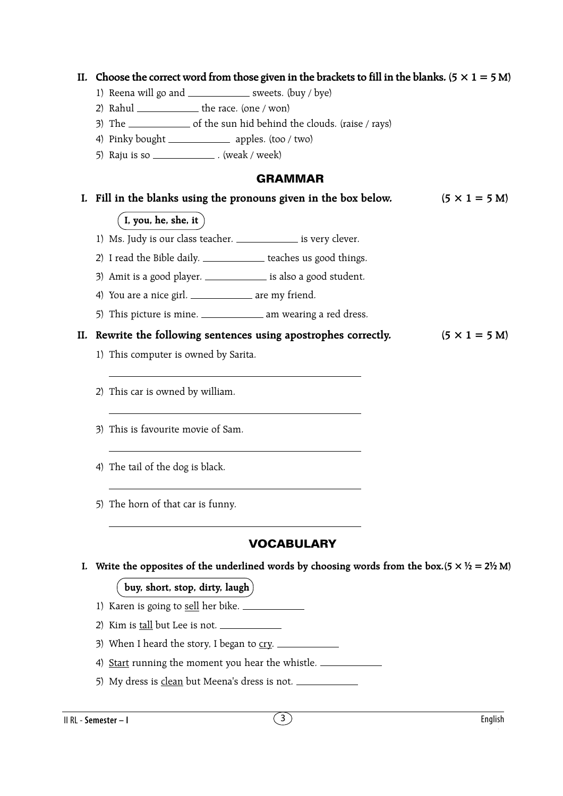## II. Choose the correct word from those given in the brackets to fill in the blanks.  $(5 \times 1 = 5 M)$

- 1) Reena will go and  $\frac{1}{\sqrt{2\pi}}$  sweets. (buy / bye)
- 2) Rahul  $\frac{1}{\sqrt{2}}$  the race. (one / won)
- 3) The  $\frac{1}{3}$  of the sun hid behind the clouds. (raise / rays)
- 4) Pinky bought \_\_\_\_\_\_\_\_\_\_\_\_\_\_\_ apples. (too / two)
- 5) Raju is so  $\frac{1}{2}$  (weak / week)

### **GRAMMAR**

# **I.** Fill in the blanks using the pronouns given in the box below.  $(5 \times 1 = 5 \text{ M})$

### $($  I, you, he, she, it  $)$

- 1) Ms. Judy is our class teacher. \_\_\_\_\_\_\_\_\_\_\_\_\_\_ is very clever.
- 2) I read the Bible daily. \_\_\_\_\_\_\_\_\_\_\_\_ teaches us good things.
- 3) Amit is a good player. \_\_\_\_\_\_\_\_\_\_\_\_\_ is also a good student.
- 4) You are a nice girl. \_\_\_\_\_\_\_\_\_\_\_\_\_ are my friend.
- 5) This picture is mine. \_\_\_\_\_\_\_\_\_\_\_\_\_\_ am wearing a red dress.

### **II.** Rewrite the following sentences using apostrophes correctly.  $(5 \times 1 = 5 \text{ M})$

- 1) This computer is owned by Sarita.
- 2) This car is owned by william.
- 3) This is favourite movie of Sam.
- 4) The tail of the dog is black.
- 5) The horn of that car is funny.

# **VOCABULARY**

**I.** Write the opposites of the underlined words by choosing words from the box.( $5 \times \frac{1}{2} = 2\frac{1}{2}$  M)

### **buy, short, stop, dirty, laugh**

- 1) Karen is going to sell her bike.
- 2) Kim is tall but Lee is not.
- 3) When I heard the story, I began to  $\overline{cry}$ .
- 4) Start running the moment you hear the whistle.
- 5) My dress is clean but Meena's dress is not.

II RL - **Semester – I** 3 English